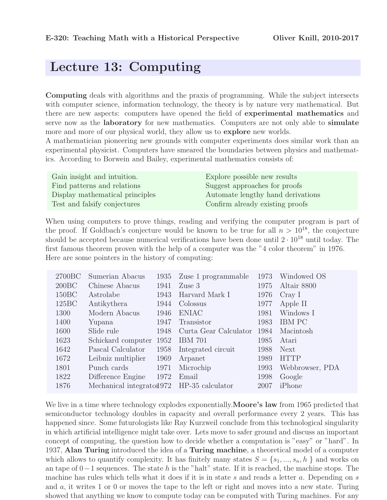## Lecture 13: Computing

Computing deals with algorithms and the praxis of programming. While the subject intersects with computer science, information technology, the theory is by nature very mathematical. But there are new aspects: computers have opened the field of experimental mathematics and serve now as the **laboratory** for new mathematics. Computers are not only able to **simulate** more and more of our physical world, they allow us to explore new worlds.

A mathematician pioneering new grounds with computer experiments does similar work than an experimental physicist. Computers have smeared the boundaries between physics and mathematics. According to Borwein and Bailey, experimental mathematics consists of:

| Gain insight and intuition.     | Explore possible new results      |
|---------------------------------|-----------------------------------|
| Find patterns and relations     | Suggest approaches for proofs     |
| Display mathematical principles | Automate lengthy hand derivations |
| Test and falsify conjectures    | Confirm already existing proofs   |

When using computers to prove things, reading and verifying the computer program is part of the proof. If Goldbach's conjecture would be known to be true for all  $n > 10^{18}$ , the conjecture should be accepted because numerical verifications have been done until  $2 \cdot 10^{18}$  until today. The first famous theorem proven with the help of a computer was the "4 color theorem" in 1976. Here are some pointers in the history of computing:

| 2700 <sub>BC</sub> | Sumerian Abacus           | 1935 | Zuse 1 programmable   | 1973 | Windowed OS     |
|--------------------|---------------------------|------|-----------------------|------|-----------------|
| 200BC              | Chinese Abacus            | 1941 | $Z$ use $3$           | 1975 | Altair 8800     |
| 150BC              | Astrolabe                 | 1943 | Harvard Mark I        | 1976 | CrayI           |
| $125\text{BC}$     | Antikythera               | 1944 | Colossus              | 1977 | Apple II        |
| 1300               | Modern Abacus             | 1946 | <b>ENIAC</b>          | 1981 | Windows I       |
| 1400               | Yupana                    | 1947 | Transistor            | 1983 | <b>IBM PC</b>   |
| 1600               | Slide rule                | 1948 | Curta Gear Calculator | 1984 | Macintosh       |
| 1623               | Schickard computer        | 1952 | <b>IBM 701</b>        | 1985 | Atari           |
| 1642               | Pascal Calculator         | 1958 | Integrated circuit    | 1988 | <b>Next</b>     |
| 1672               | Leibniz multiplier        | 1969 | Arpanet               | 1989 | <b>HTTP</b>     |
| 1801               | Punch cards               | 1971 | Microchip             | 1993 | Webbrowser, PDA |
| 1822               | Difference Engine         | 1972 | Email                 | 1998 | Google          |
| 1876               | Mechanical integrated 972 |      | HP-35 calculator      | 2007 | iPhone          |

We live in a time where technology explodes exponentially. **Moore's law** from 1965 predicted that semiconductor technology doubles in capacity and overall performance every 2 years. This has happened since. Some futurologists like Ray Kurzweil conclude from this technological singularity in which artificial intelligence might take over. Lets move to safer ground and discuss an important concept of computing, the question how to decide whether a computation is "easy" or "hard". In 1937, Alan Turing introduced the idea of a Turing machine, a theoretical model of a computer which allows to quantify complexity. It has finitely many states  $S = \{s_1, ..., s_n, h\}$  and works on an tape of 0−1 sequences. The state h is the "halt" state. If it is reached, the machine stops. The machine has rules which tells what it does if it is in state s and reads a letter a. Depending on s and  $a$ , it writes 1 or 0 or moves the tape to the left or right and moves into a new state. Turing showed that anything we know to compute today can be computed with Turing machines. For any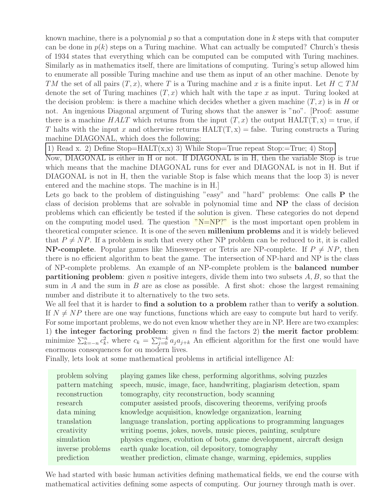known machine, there is a polynomial  $p$  so that a computation done in  $k$  steps with that computer can be done in  $p(k)$  steps on a Turing machine. What can actually be computed? Church's thesis of 1934 states that everything which can be computed can be computed with Turing machines. Similarly as in mathematics itself, there are limitations of computing. Turing's setup allowed him to enumerate all possible Turing machine and use them as input of an other machine. Denote by TM the set of all pairs  $(T, x)$ , where T is a Turing machine and x is a finite input. Let  $H \subset TM$ denote the set of Turing machines  $(T, x)$  which halt with the tape x as input. Turing looked at the decision problem: is there a machine which decides whether a given machine  $(T, x)$  is in H or not. An ingenious Diagonal argument of Turing shows that the answer is "no". [Proof: assume there is a machine  $HALT$  which returns from the input  $(T, x)$  the output HALT $(T, x)$  = true, if T halts with the input x and otherwise returns  $HALT(T, x) =$  false. Turing constructs a Turing machine DIAGONAL, which does the following:

1) Read x. 2) Define Stop=HALT(x,x) 3) While Stop=True repeat Stop:=True; 4) Stop

Now, DIAGONAL is either in H or not. If DIAGONAL is in H, then the variable Stop is true which means that the machine DIAGONAL runs for ever and DIAGONAL is not in H. But if DIAGONAL is not in H, then the variable Stop is false which means that the loop 3) is never entered and the machine stops. The machine is in H.]

Lets go back to the problem of distinguishing "easy" and "hard" problems: One calls **P** the class of decision problems that are solvable in polynomial time and NP the class of decision problems which can efficiently be tested if the solution is given. These categories do not depend on the computing model used. The question  $"N=NP?"$  is the most important open problem in theoretical computer science. It is one of the seven millenium problems and it is widely believed that  $P \neq NP$ . If a problem is such that every other NP problem can be reduced to it, it is called **NP-complete**. Popular games like Minesweeper or Tetris are NP-complete. If  $P \neq NP$ , then there is no efficient algorithm to beat the game. The intersection of NP-hard and NP is the class of NP-complete problems. An example of an NP-complete problem is the balanced number **partitioning problem:** given n positive integers, divide them into two subsets  $A, B$ , so that the sum in  $A$  and the sum in  $B$  are as close as possible. A first shot: chose the largest remaining number and distribute it to alternatively to the two sets.

We all feel that it is harder to **find a solution to a problem** rather than to **verify a solution**. If  $N \neq NP$  there are one way functions, functions which are easy to compute but hard to verify. For some important problems, we do not even know whether they are in NP. Here are two examples: 1) the integer factoring problem: given n find the factors 2) the merit factor problem: minimize  $\sum_{k=-n}^{n} c_k^2$ <sup>2</sup><sub>k</sub>, where  $c_k = \sum_{j=0}^{n-k} a_j a_{j+k}$  An efficient algorithm for the first one would have enormous consequences for ou modern lives.

Finally, lets look at some mathematical problems in artificial intelligence AI:

| problem solving  | playing games like chess, performing algorithms, solving puzzles      |
|------------------|-----------------------------------------------------------------------|
| pattern matching | speech, music, image, face, handwriting, plagiarism detection, spam   |
| reconstruction   | tomography, city reconstruction, body scanning                        |
| research         | computer assisted proofs, discovering theorems, verifying proofs      |
| data mining      | knowledge acquisition, knowledge organization, learning               |
| translation      | language translation, porting applications to programming languages   |
| creativity       | writing poems, jokes, novels, music pieces, painting, sculpture       |
| simulation       | physics engines, evolution of bots, game development, aircraft design |
| inverse problems | earth quake location, oil depository, tomography                      |
| prediction       | weather prediction, climate change, warming, epidemics, supplies      |

We had started with basic human activities defining mathematical fields, we end the course with mathematical activities defining some aspects of computing. Our journey through math is over.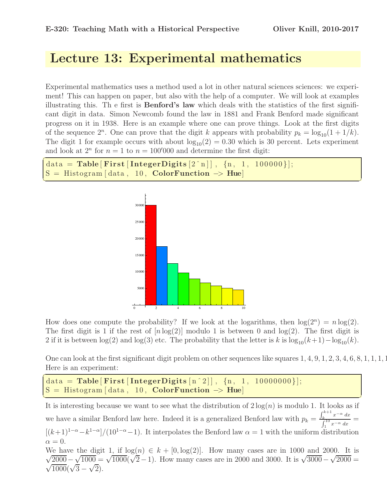## Lecture 13: Experimental mathematics

Experimental mathematics uses a method used a lot in other natural sciences sciences: we experiment! This can happen on paper, but also with the help of a computer. We will look at examples illustrating this. Th e first is Benford's law which deals with the statistics of the first significant digit in data. Simon Newcomb found the law in 1881 and Frank Benford made significant progress on it in 1938. Here is an example where one can prove things. Look at the first digits of the sequence  $2^n$ . One can prove that the digit k appears with probability  $p_k = \log_{10}(1 + 1/k)$ . The digit 1 for example occurs with about  $log_{10}(2) = 0.30$  which is 30 percent. Lets experiment and look at  $2^n$  for  $n = 1$  to  $n = 100'000$  and determine the first digit:

✝ ✆

```
\overline{a}data = Table [ First [IntegerDigits [2 \n\hat{\ } n]], \{n, 1, 100000\}];<br>S = Histogram [data, 10, ColorFunction \rightarrow Hue]
    S = \text{Historram} \left[ \text{data} \right], \quad \text{ColorFunction} \rightarrow \text{Hue} \left[ \text{data} \right]
```


How does one compute the probability? If we look at the logarithms, then  $log(2^n) = n log(2)$ . The first digit is 1 if the rest of  $[n\log(2)]$  modulo 1 is between 0 and  $\log(2)$ . The first digit is 2 if it is between  $\log(2)$  and  $\log(3)$  etc. The probability that the letter is k is  $\log_{10}(k+1)-\log_{10}(k)$ .

One can look at the first significant digit problem on other sequences like squares 1, 4, 9, 1, 2, 3, 4, 6, 8, 1, 1, 1, 1 Here is an experiment:

```
\sqrt{2}data = Table [First [IntegerDigits [n^2]], \{n, 1, 10000000\}];
S = Histogram [data, 10, ColorFunction \rightarrow Hue]
```
It is interesting because we want to see what the distribution of  $2 \log(n)$  is modulo 1. It looks as if we have a similar Benford law here. Indeed it is a generalized Benford law with  $p_k =$  $\int_{k}^{k+1} x^{-\alpha} dx$  $\int_{1}^{k} \frac{x}{x-\alpha} \frac{dx}{dx} =$  $[(k+1)^{1-\alpha}-k^{1-\alpha}]/(10^{1-\alpha}-1)$ . It interpolates the Benford law  $\alpha=1$  with the uniform distribution  $\alpha = 0.$  $\sqrt{\frac{2000}{1000}} - \sqrt{1000} = \sqrt{1000} (\sqrt{2} - 1)$ . How many cases are in 2000 and 3000. It is  $\sqrt{3000} - \sqrt{2000} = \sqrt{1000}$ We have the digit 1, if  $log(n) \in k + [0, log(2)]$ . How many cases are in 1000 and 2000. It is

✝ ✆

 $\sqrt{1000}(\sqrt{3}-\sqrt{2}).$